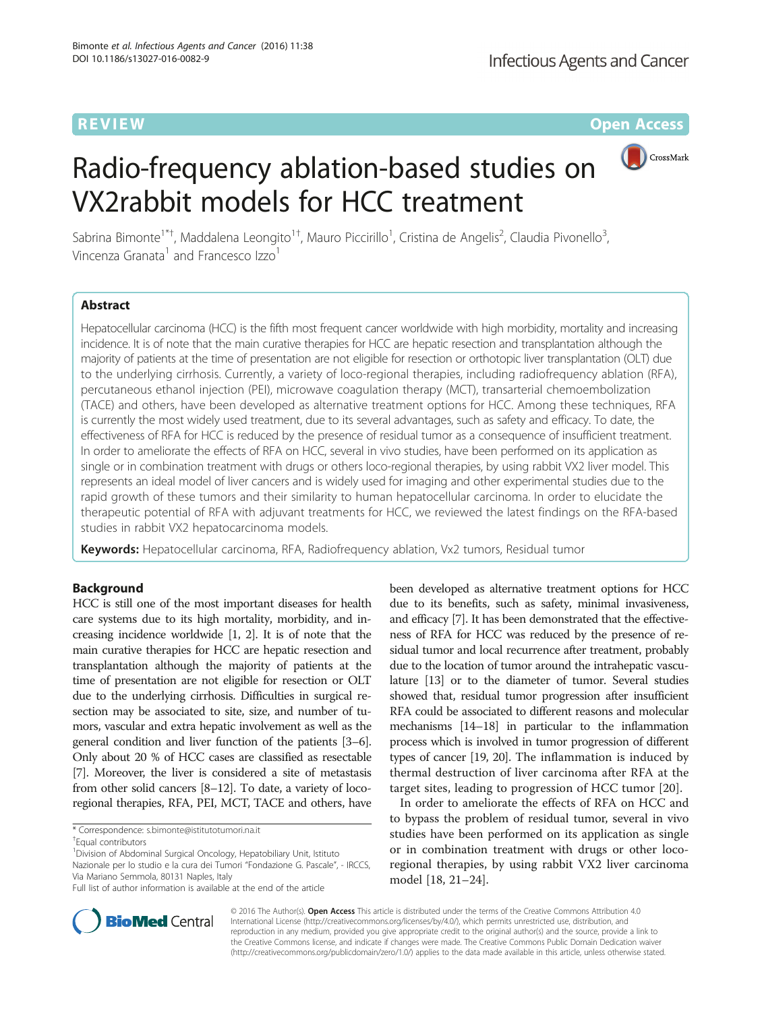**REVIEW CONTROL** CONTROL CONTROL CONTROL CONTROL CONTROL CONTROL CONTROL CONTROL CONTROL CONTROL CONTROL CONTROL CONTROL CONTROL CONTROL CONTROL CONTROL CONTROL CONTROL CONTROL CONTROL CONTROL CONTROL CONTROL CONTROL CONTR

# Radio-frequency ablation-based studies on VX2rabbit models for HCC treatment



Sabrina Bimonte<sup>1\*†</sup>, Maddalena Leongito<sup>1†</sup>, Mauro Piccirillo<sup>1</sup>, Cristina de Angelis<sup>2</sup>, Claudia Pivonello<sup>3</sup> , Vincenza Granata<sup>1</sup> and Francesco Izzo<sup>1</sup>

# Abstract

Hepatocellular carcinoma (HCC) is the fifth most frequent cancer worldwide with high morbidity, mortality and increasing incidence. It is of note that the main curative therapies for HCC are hepatic resection and transplantation although the majority of patients at the time of presentation are not eligible for resection or orthotopic liver transplantation (OLT) due to the underlying cirrhosis. Currently, a variety of loco-regional therapies, including radiofrequency ablation (RFA), percutaneous ethanol injection (PEI), microwave coagulation therapy (MCT), transarterial chemoembolization (TACE) and others, have been developed as alternative treatment options for HCC. Among these techniques, RFA is currently the most widely used treatment, due to its several advantages, such as safety and efficacy. To date, the effectiveness of RFA for HCC is reduced by the presence of residual tumor as a consequence of insufficient treatment. In order to ameliorate the effects of RFA on HCC, several in vivo studies, have been performed on its application as single or in combination treatment with drugs or others loco-regional therapies, by using rabbit VX2 liver model. This represents an ideal model of liver cancers and is widely used for imaging and other experimental studies due to the rapid growth of these tumors and their similarity to human hepatocellular carcinoma. In order to elucidate the therapeutic potential of RFA with adjuvant treatments for HCC, we reviewed the latest findings on the RFA-based studies in rabbit VX2 hepatocarcinoma models.

Keywords: Hepatocellular carcinoma, RFA, Radiofrequency ablation, Vx2 tumors, Residual tumor

# Background

HCC is still one of the most important diseases for health care systems due to its high mortality, morbidity, and increasing incidence worldwide [\[1](#page-3-0), [2\]](#page-3-0). It is of note that the main curative therapies for HCC are hepatic resection and transplantation although the majority of patients at the time of presentation are not eligible for resection or OLT due to the underlying cirrhosis. Difficulties in surgical resection may be associated to site, size, and number of tumors, vascular and extra hepatic involvement as well as the general condition and liver function of the patients [\[3](#page-3-0)–[6](#page-3-0)]. Only about 20 % of HCC cases are classified as resectable [[7](#page-3-0)]. Moreover, the liver is considered a site of metastasis from other solid cancers [[8](#page-3-0)–[12](#page-3-0)]. To date, a variety of locoregional therapies, RFA, PEI, MCT, TACE and others, have

<sup>1</sup> Division of Abdominal Surgical Oncology, Hepatobiliary Unit, Istituto Nazionale per lo studio e la cura dei Tumori "Fondazione G. Pascale", - IRCCS, Via Mariano Semmola, 80131 Naples, Italy

been developed as alternative treatment options for HCC due to its benefits, such as safety, minimal invasiveness, and efficacy [\[7\]](#page-3-0). It has been demonstrated that the effectiveness of RFA for HCC was reduced by the presence of residual tumor and local recurrence after treatment, probably due to the location of tumor around the intrahepatic vasculature [\[13](#page-3-0)] or to the diameter of tumor. Several studies showed that, residual tumor progression after insufficient RFA could be associated to different reasons and molecular mechanisms [\[14](#page-3-0)–[18](#page-3-0)] in particular to the inflammation process which is involved in tumor progression of different types of cancer [[19, 20\]](#page-3-0). The inflammation is induced by thermal destruction of liver carcinoma after RFA at the target sites, leading to progression of HCC tumor [\[20](#page-3-0)].

In order to ameliorate the effects of RFA on HCC and to bypass the problem of residual tumor, several in vivo studies have been performed on its application as single or in combination treatment with drugs or other locoregional therapies, by using rabbit VX2 liver carcinoma model [\[18](#page-3-0), [21](#page-3-0)–[24\]](#page-3-0).



© 2016 The Author(s). Open Access This article is distributed under the terms of the Creative Commons Attribution 4.0 International License [\(http://creativecommons.org/licenses/by/4.0/](http://creativecommons.org/licenses/by/4.0/)), which permits unrestricted use, distribution, and reproduction in any medium, provided you give appropriate credit to the original author(s) and the source, provide a link to the Creative Commons license, and indicate if changes were made. The Creative Commons Public Domain Dedication waiver [\(http://creativecommons.org/publicdomain/zero/1.0/](http://creativecommons.org/publicdomain/zero/1.0/)) applies to the data made available in this article, unless otherwise stated.

<sup>\*</sup> Correspondence: [s.bimonte@istitutotumori.na.it](mailto:s.bimonte@istitutotumori.na.it) †

Equal contributors

Full list of author information is available at the end of the article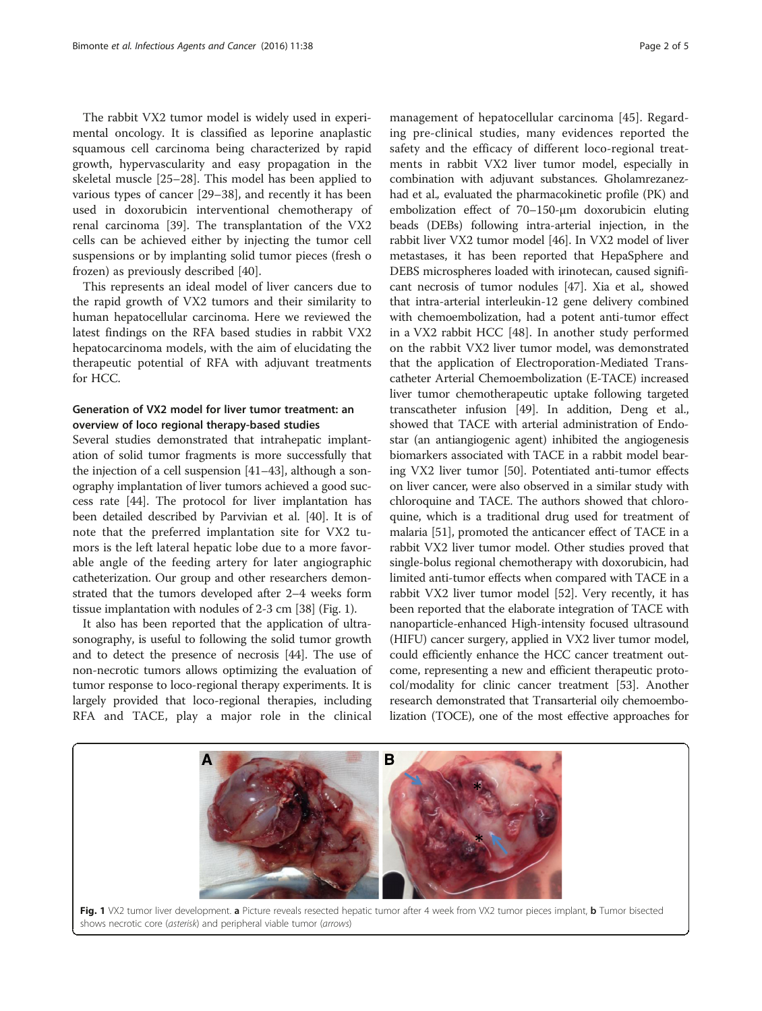The rabbit VX2 tumor model is widely used in experimental oncology. It is classified as leporine anaplastic squamous cell carcinoma being characterized by rapid growth, hypervascularity and easy propagation in the skeletal muscle [\[25](#page-3-0)–[28\]](#page-3-0). This model has been applied to various types of cancer [[29](#page-3-0)–[38](#page-4-0)], and recently it has been used in doxorubicin interventional chemotherapy of renal carcinoma [\[39\]](#page-4-0). The transplantation of the VX2 cells can be achieved either by injecting the tumor cell suspensions or by implanting solid tumor pieces (fresh o frozen) as previously described [\[40](#page-4-0)].

This represents an ideal model of liver cancers due to the rapid growth of VX2 tumors and their similarity to human hepatocellular carcinoma. Here we reviewed the latest findings on the RFA based studies in rabbit VX2 hepatocarcinoma models, with the aim of elucidating the therapeutic potential of RFA with adjuvant treatments for HCC.

# Generation of VX2 model for liver tumor treatment: an overview of loco regional therapy-based studies

Several studies demonstrated that intrahepatic implantation of solid tumor fragments is more successfully that the injection of a cell suspension [\[41](#page-4-0)–[43](#page-4-0)], although a sonography implantation of liver tumors achieved a good success rate [[44](#page-4-0)]. The protocol for liver implantation has been detailed described by Parvivian et al. [\[40\]](#page-4-0). It is of note that the preferred implantation site for VX2 tumors is the left lateral hepatic lobe due to a more favorable angle of the feeding artery for later angiographic catheterization. Our group and other researchers demonstrated that the tumors developed after 2–4 weeks form tissue implantation with nodules of 2-3 cm [[38](#page-4-0)] (Fig. 1).

It also has been reported that the application of ultrasonography, is useful to following the solid tumor growth and to detect the presence of necrosis [[44](#page-4-0)]. The use of non-necrotic tumors allows optimizing the evaluation of tumor response to loco-regional therapy experiments. It is largely provided that loco-regional therapies, including RFA and TACE, play a major role in the clinical

management of hepatocellular carcinoma [[45\]](#page-4-0). Regarding pre-clinical studies, many evidences reported the safety and the efficacy of different loco-regional treatments in rabbit VX2 liver tumor model, especially in combination with adjuvant substances. Gholamrezanezhad et al., evaluated the pharmacokinetic profile (PK) and embolization effect of 70–150-μm doxorubicin eluting beads (DEBs) following intra-arterial injection, in the rabbit liver VX2 tumor model [[46](#page-4-0)]. In VX2 model of liver metastases, it has been reported that HepaSphere and DEBS microspheres loaded with irinotecan, caused significant necrosis of tumor nodules [[47](#page-4-0)]. Xia et al., showed that intra-arterial interleukin-12 gene delivery combined with chemoembolization, had a potent anti-tumor effect in a VX2 rabbit HCC [[48\]](#page-4-0). In another study performed on the rabbit VX2 liver tumor model, was demonstrated that the application of Electroporation-Mediated Transcatheter Arterial Chemoembolization (E-TACE) increased liver tumor chemotherapeutic uptake following targeted transcatheter infusion [\[49\]](#page-4-0). In addition, Deng et al., showed that TACE with arterial administration of Endostar (an antiangiogenic agent) inhibited the angiogenesis biomarkers associated with TACE in a rabbit model bearing VX2 liver tumor [[50](#page-4-0)]. Potentiated anti-tumor effects on liver cancer, were also observed in a similar study with chloroquine and TACE. The authors showed that chloroquine, which is a traditional drug used for treatment of malaria [\[51\]](#page-4-0), promoted the anticancer effect of TACE in a rabbit VX2 liver tumor model. Other studies proved that single-bolus regional chemotherapy with doxorubicin, had limited anti-tumor effects when compared with TACE in a rabbit VX2 liver tumor model [\[52](#page-4-0)]. Very recently, it has been reported that the elaborate integration of TACE with nanoparticle-enhanced High-intensity focused ultrasound (HIFU) cancer surgery, applied in VX2 liver tumor model, could efficiently enhance the HCC cancer treatment outcome, representing a new and efficient therapeutic protocol/modality for clinic cancer treatment [[53](#page-4-0)]. Another research demonstrated that Transarterial oily chemoembolization (TOCE), one of the most effective approaches for

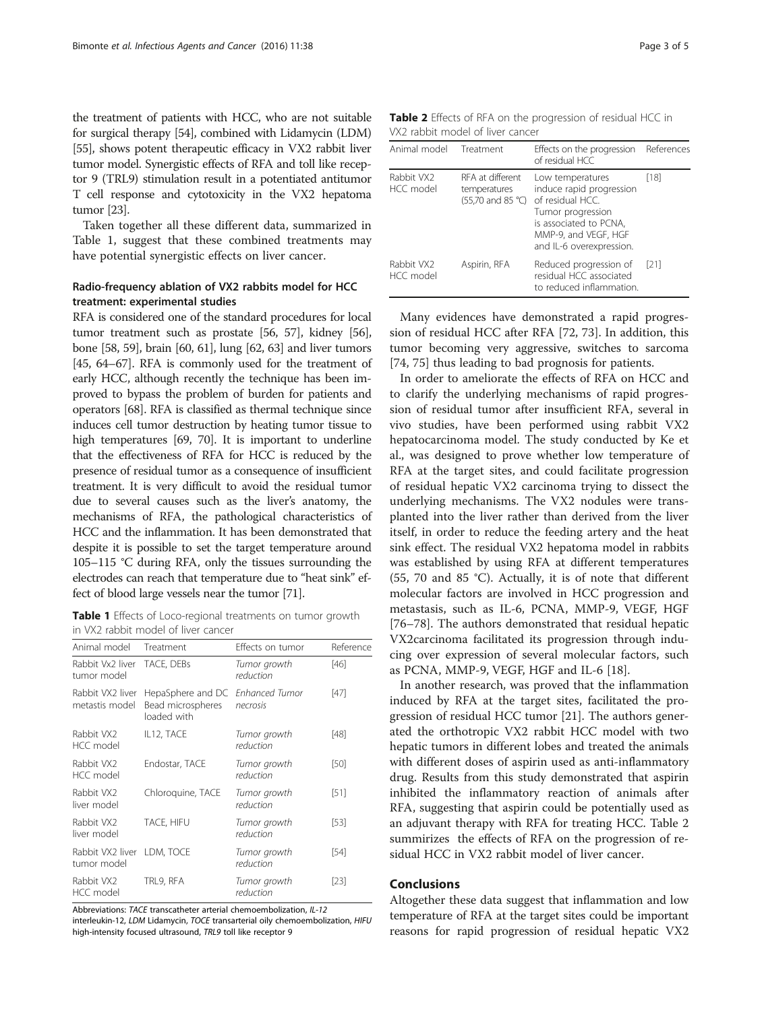the treatment of patients with HCC, who are not suitable for surgical therapy [\[54\]](#page-4-0), combined with Lidamycin (LDM) [[55](#page-4-0)], shows potent therapeutic efficacy in VX2 rabbit liver tumor model. Synergistic effects of RFA and toll like receptor 9 (TRL9) stimulation result in a potentiated antitumor T cell response and cytotoxicity in the VX2 hepatoma tumor [[23](#page-3-0)].

Taken together all these different data, summarized in Table 1, suggest that these combined treatments may have potential synergistic effects on liver cancer.

# Radio-frequency ablation of VX2 rabbits model for HCC treatment: experimental studies

RFA is considered one of the standard procedures for local tumor treatment such as prostate [[56](#page-4-0), [57\]](#page-4-0), kidney [\[56](#page-4-0)], bone [\[58, 59\]](#page-4-0), brain [\[60, 61\]](#page-4-0), lung [\[62, 63\]](#page-4-0) and liver tumors [[45](#page-4-0), [64](#page-4-0)–[67](#page-4-0)]. RFA is commonly used for the treatment of early HCC, although recently the technique has been improved to bypass the problem of burden for patients and operators [[68](#page-4-0)]. RFA is classified as thermal technique since induces cell tumor destruction by heating tumor tissue to high temperatures [[69](#page-4-0), [70](#page-4-0)]. It is important to underline that the effectiveness of RFA for HCC is reduced by the presence of residual tumor as a consequence of insufficient treatment. It is very difficult to avoid the residual tumor due to several causes such as the liver's anatomy, the mechanisms of RFA, the pathological characteristics of HCC and the inflammation. It has been demonstrated that despite it is possible to set the target temperature around 105–115 °C during RFA, only the tissues surrounding the electrodes can reach that temperature due to "heat sink" effect of blood large vessels near the tumor [[71](#page-4-0)].

Table 1 Effects of Loco-regional treatments on tumor growth in VX2 rabbit model of liver cancer

| Animal model                              | Treatment                                                            | Effects on tumor          | Reference |
|-------------------------------------------|----------------------------------------------------------------------|---------------------------|-----------|
| Rabbit Vx2 liver<br>tumor model           | TACE, DEBs                                                           | Tumor growth<br>reduction | [46]      |
| Rabbit VX2 liver<br>metastis model        | HepaSphere and DC Enhanced Tumor<br>Bead microspheres<br>loaded with | necrosis                  | [47]      |
| Rabbit VX2<br>HCC model                   | IL12, TACE                                                           | Tumor growth<br>reduction | [48]      |
| Rabbit VX2<br><b>HCC</b> model            | Endostar, TACE                                                       | Tumor growth<br>reduction | [50]      |
| Rabbit VX2<br>liver model                 | Chloroquine, TACE                                                    | Tumor growth<br>reduction | [51]      |
| Rabbit VX2<br>liver model                 | TACE, HIFU                                                           | Tumor growth<br>reduction | [53]      |
| Rabbit VX2 liver LDM, TOCE<br>tumor model |                                                                      | Tumor growth<br>reduction | [54]      |
| Rabbit VX2<br><b>HCC</b> model            | TRL9, RFA                                                            | Tumor growth<br>reduction | [23]      |

Abbreviations: TACE transcatheter arterial chemoembolization, IL-12

interleukin-12, LDM Lidamycin, TOCE transarterial oily chemoembolization, HIFU high-intensity focused ultrasound, TRL9 toll like receptor 9

| Table 2 Effects of RFA on the progression of residual HCC in |  |  |
|--------------------------------------------------------------|--|--|
| VX2 rabbit model of liver cancer                             |  |  |

| Animal model            | Treatment                                                                              | Effects on the progression<br>of residual HCC                                                                                                                       | References |
|-------------------------|----------------------------------------------------------------------------------------|---------------------------------------------------------------------------------------------------------------------------------------------------------------------|------------|
| Rabbit VX2<br>HCC model | RFA at different<br>temperatures<br>$(55,70 \text{ and } 85 \text{ }^{\circ}\text{C})$ | Low temperatures<br>induce rapid progression<br>of residual HCC.<br>Tumor progression<br>is associated to PCNA,<br>MMP-9, and VEGF, HGF<br>and IL-6 overexpression. | [18]       |
| Rabbit VX2<br>HCC model | Aspirin, RFA                                                                           | Reduced progression of<br>residual HCC associated<br>to reduced inflammation.                                                                                       | [21]       |

Many evidences have demonstrated a rapid progression of residual HCC after RFA [[72, 73\]](#page-4-0). In addition, this tumor becoming very aggressive, switches to sarcoma [[74, 75\]](#page-4-0) thus leading to bad prognosis for patients.

In order to ameliorate the effects of RFA on HCC and to clarify the underlying mechanisms of rapid progression of residual tumor after insufficient RFA, several in vivo studies, have been performed using rabbit VX2 hepatocarcinoma model. The study conducted by Ke et al., was designed to prove whether low temperature of RFA at the target sites, and could facilitate progression of residual hepatic VX2 carcinoma trying to dissect the underlying mechanisms. The VX2 nodules were transplanted into the liver rather than derived from the liver itself, in order to reduce the feeding artery and the heat sink effect. The residual VX2 hepatoma model in rabbits was established by using RFA at different temperatures (55, 70 and 85 °C). Actually, it is of note that different molecular factors are involved in HCC progression and metastasis, such as IL-6, PCNA, MMP-9, VEGF, HGF [[76](#page-4-0)–[78](#page-4-0)]. The authors demonstrated that residual hepatic VX2carcinoma facilitated its progression through inducing over expression of several molecular factors, such as PCNA, MMP-9, VEGF, HGF and IL-6 [[18](#page-3-0)].

In another research, was proved that the inflammation induced by RFA at the target sites, facilitated the progression of residual HCC tumor [[21\]](#page-3-0). The authors generated the orthotropic VX2 rabbit HCC model with two hepatic tumors in different lobes and treated the animals with different doses of aspirin used as anti-inflammatory drug. Results from this study demonstrated that aspirin inhibited the inflammatory reaction of animals after RFA, suggesting that aspirin could be potentially used as an adjuvant therapy with RFA for treating HCC. Table 2 summirizes the effects of RFA on the progression of residual HCC in VX2 rabbit model of liver cancer.

# Conclusions

Altogether these data suggest that inflammation and low temperature of RFA at the target sites could be important reasons for rapid progression of residual hepatic VX2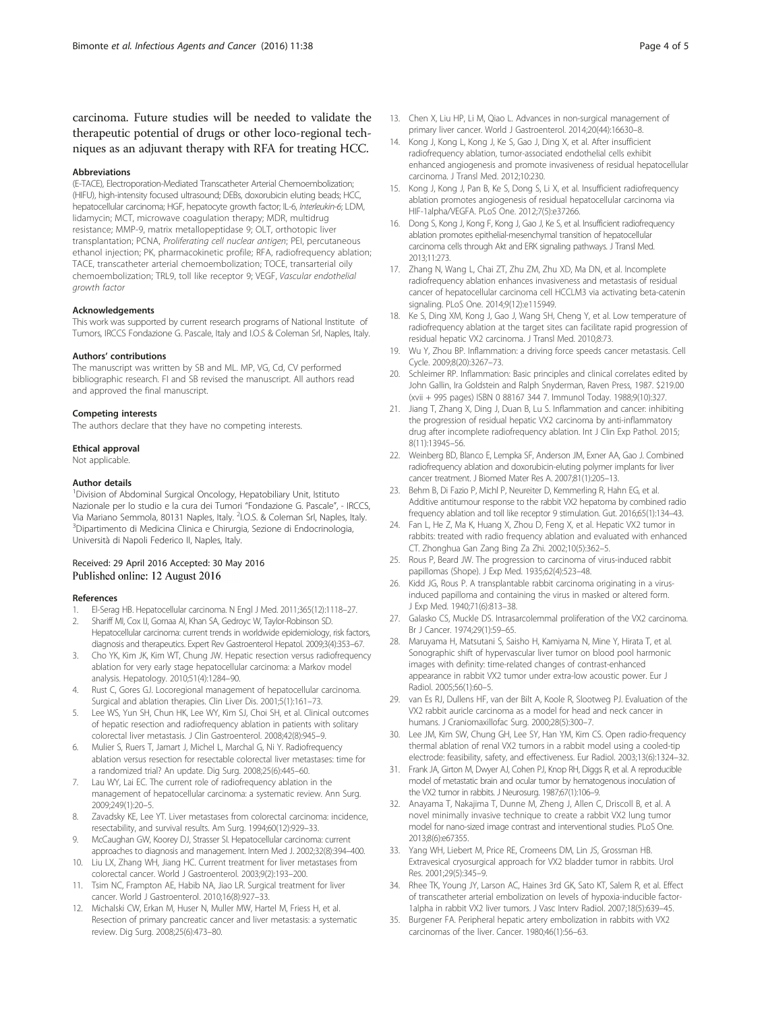<span id="page-3-0"></span>carcinoma. Future studies will be needed to validate the therapeutic potential of drugs or other loco-regional techniques as an adjuvant therapy with RFA for treating HCC.

#### Abbreviations

(E-TACE), Electroporation-Mediated Transcatheter Arterial Chemoembolization; (HIFU), high-intensity focused ultrasound; DEBs, doxorubicin eluting beads; HCC, hepatocellular carcinoma; HGF, hepatocyte growth factor; IL-6, Interleukin-6; LDM, lidamycin; MCT, microwave coagulation therapy; MDR, multidrug resistance; MMP-9, matrix metallopeptidase 9; OLT, orthotopic liver transplantation; PCNA, Proliferating cell nuclear antigen; PEI, percutaneous ethanol injection; PK, pharmacokinetic profile; RFA, radiofrequency ablation; TACE, transcatheter arterial chemoembolization; TOCE, transarterial oily chemoembolization; TRL9, toll like receptor 9; VEGF, Vascular endothelial growth factor

#### Acknowledgements

This work was supported by current research programs of National Institute of Tumors, IRCCS Fondazione G. Pascale, Italy and I.O.S & Coleman Srl, Naples, Italy.

#### Authors' contributions

The manuscript was written by SB and ML. MP, VG, Cd, CV performed bibliographic research. FI and SB revised the manuscript. All authors read and approved the final manuscript.

#### Competing interests

The authors declare that they have no competing interests.

# Ethical approval

Not applicable.

#### Author details

<sup>1</sup> Division of Abdominal Surgical Oncology, Hepatobiliary Unit, Istituto Nazionale per lo studio e la cura dei Tumori "Fondazione G. Pascale", - IRCCS, Via Mariano Semmola, 80131 Naples, Italy. <sup>2</sup>I.O.S. & Coleman Srl, Naples, Italy.<br><sup>3</sup>Dipartimento di Medicina Clinica e Chirurgia, Sezione di Endocripologia. <sup>3</sup>Dipartimento di Medicina Clinica e Chirurgia, Sezione di Endocrinologia, Università di Napoli Federico II, Naples, Italy.

### Received: 29 April 2016 Accepted: 30 May 2016 Published online: 12 August 2016

#### References

- 1. El-Serag HB. Hepatocellular carcinoma. N Engl J Med. 2011;365(12):1118–27.
- 2. Shariff MI, Cox IJ, Gomaa AI, Khan SA, Gedroyc W, Taylor-Robinson SD. Hepatocellular carcinoma: current trends in worldwide epidemiology, risk factors, diagnosis and therapeutics. Expert Rev Gastroenterol Hepatol. 2009;3(4):353–67.
- 3. Cho YK, Kim JK, Kim WT, Chung JW. Hepatic resection versus radiofrequency ablation for very early stage hepatocellular carcinoma: a Markov model analysis. Hepatology. 2010;51(4):1284–90.
- 4. Rust C, Gores GJ. Locoregional management of hepatocellular carcinoma. Surgical and ablation therapies. Clin Liver Dis. 2001;5(1):161–73.
- 5. Lee WS, Yun SH, Chun HK, Lee WY, Kim SJ, Choi SH, et al. Clinical outcomes of hepatic resection and radiofrequency ablation in patients with solitary colorectal liver metastasis. J Clin Gastroenterol. 2008;42(8):945–9.
- 6. Mulier S, Ruers T, Jamart J, Michel L, Marchal G, Ni Y. Radiofrequency ablation versus resection for resectable colorectal liver metastases: time for a randomized trial? An update. Dig Surg. 2008;25(6):445–60.
- 7. Lau WY, Lai EC. The current role of radiofrequency ablation in the management of hepatocellular carcinoma: a systematic review. Ann Surg. 2009;249(1):20–5.
- 8. Zavadsky KE, Lee YT. Liver metastases from colorectal carcinoma: incidence, resectability, and survival results. Am Surg. 1994;60(12):929–33.
- 9. McCaughan GW, Koorey DJ, Strasser SI. Hepatocellular carcinoma: current approaches to diagnosis and management. Intern Med J. 2002;32(8):394–400.
- 10. Liu LX, Zhang WH, Jiang HC. Current treatment for liver metastases from colorectal cancer. World J Gastroenterol. 2003;9(2):193–200.
- 11. Tsim NC, Frampton AE, Habib NA, Jiao LR. Surgical treatment for liver cancer. World J Gastroenterol. 2010;16(8):927–33.
- 12. Michalski CW, Erkan M, Huser N, Muller MW, Hartel M, Friess H, et al. Resection of primary pancreatic cancer and liver metastasis: a systematic review. Dig Surg. 2008;25(6):473–80.
- 13. Chen X, Liu HP, Li M, Qiao L. Advances in non-surgical management of primary liver cancer. World J Gastroenterol. 2014;20(44):16630–8.
- 14. Kong J, Kong L, Kong J, Ke S, Gao J, Ding X, et al. After insufficient radiofrequency ablation, tumor-associated endothelial cells exhibit enhanced angiogenesis and promote invasiveness of residual hepatocellular carcinoma. J Transl Med. 2012;10:230.
- 15. Kong J, Kong J, Pan B, Ke S, Dong S, Li X, et al. Insufficient radiofrequency ablation promotes angiogenesis of residual hepatocellular carcinoma via HIF-1alpha/VEGFA. PLoS One. 2012;7(5):e37266.
- 16. Dong S, Kong J, Kong F, Kong J, Gao J, Ke S, et al. Insufficient radiofrequency ablation promotes epithelial-mesenchymal transition of hepatocellular carcinoma cells through Akt and ERK signaling pathways. J Transl Med. 2013;11:273.
- 17. Zhang N, Wang L, Chai ZT, Zhu ZM, Zhu XD, Ma DN, et al. Incomplete radiofrequency ablation enhances invasiveness and metastasis of residual cancer of hepatocellular carcinoma cell HCCLM3 via activating beta-catenin signaling. PLoS One. 2014;9(12):e115949.
- 18. Ke S, Ding XM, Kong J, Gao J, Wang SH, Cheng Y, et al. Low temperature of radiofrequency ablation at the target sites can facilitate rapid progression of residual hepatic VX2 carcinoma. J Transl Med. 2010;8:73.
- 19. Wu Y, Zhou BP. Inflammation: a driving force speeds cancer metastasis. Cell Cycle. 2009;8(20):3267–73.
- 20. Schleimer RP. Inflammation: Basic principles and clinical correlates edited by John Gallin, Ira Goldstein and Ralph Snyderman, Raven Press, 1987. \$219.00 (xvii + 995 pages) ISBN 0 88167 344 7. Immunol Today. 1988;9(10):327.
- 21. Jiang T, Zhang X, Ding J, Duan B, Lu S. Inflammation and cancer: inhibiting the progression of residual hepatic VX2 carcinoma by anti-inflammatory drug after incomplete radiofrequency ablation. Int J Clin Exp Pathol. 2015; 8(11):13945–56.
- 22. Weinberg BD, Blanco E, Lempka SF, Anderson JM, Exner AA, Gao J. Combined radiofrequency ablation and doxorubicin-eluting polymer implants for liver cancer treatment. J Biomed Mater Res A. 2007;81(1):205–13.
- 23. Behm B, Di Fazio P, Michl P, Neureiter D, Kemmerling R, Hahn EG, et al. Additive antitumour response to the rabbit VX2 hepatoma by combined radio frequency ablation and toll like receptor 9 stimulation. Gut. 2016;65(1):134–43.
- 24. Fan L, He Z, Ma K, Huang X, Zhou D, Feng X, et al. Hepatic VX2 tumor in rabbits: treated with radio frequency ablation and evaluated with enhanced CT. Zhonghua Gan Zang Bing Za Zhi. 2002;10(5):362–5.
- 25. Rous P, Beard JW. The progression to carcinoma of virus-induced rabbit papillomas (Shope). J Exp Med. 1935;62(4):523–48.
- 26. Kidd JG, Rous P. A transplantable rabbit carcinoma originating in a virusinduced papilloma and containing the virus in masked or altered form. J Exp Med. 1940;71(6):813–38.
- 27. Galasko CS, Muckle DS. Intrasarcolemmal proliferation of the VX2 carcinoma. Br J Cancer. 1974;29(1):59–65.
- 28. Maruyama H, Matsutani S, Saisho H, Kamiyama N, Mine Y, Hirata T, et al. Sonographic shift of hypervascular liver tumor on blood pool harmonic images with definity: time-related changes of contrast-enhanced appearance in rabbit VX2 tumor under extra-low acoustic power. Eur J Radiol. 2005;56(1):60–5.
- 29. van Es RJ, Dullens HF, van der Bilt A, Koole R, Slootweg PJ. Evaluation of the VX2 rabbit auricle carcinoma as a model for head and neck cancer in humans. J Craniomaxillofac Surg. 2000;28(5):300–7.
- 30. Lee JM, Kim SW, Chung GH, Lee SY, Han YM, Kim CS. Open radio-frequency thermal ablation of renal VX2 tumors in a rabbit model using a cooled-tip electrode: feasibility, safety, and effectiveness. Eur Radiol. 2003;13(6):1324–32.
- 31. Frank JA, Girton M, Dwyer AJ, Cohen PJ, Knop RH, Diggs R, et al. A reproducible model of metastatic brain and ocular tumor by hematogenous inoculation of the VX2 tumor in rabbits. J Neurosurg. 1987;67(1):106–9.
- 32. Anayama T, Nakajima T, Dunne M, Zheng J, Allen C, Driscoll B, et al. A novel minimally invasive technique to create a rabbit VX2 lung tumor model for nano-sized image contrast and interventional studies. PLoS One. 2013;8(6):e67355.
- 33. Yang WH, Liebert M, Price RE, Cromeens DM, Lin JS, Grossman HB. Extravesical cryosurgical approach for VX2 bladder tumor in rabbits. Urol Res. 2001;29(5):345–9.
- 34. Rhee TK, Young JY, Larson AC, Haines 3rd GK, Sato KT, Salem R, et al. Effect of transcatheter arterial embolization on levels of hypoxia-inducible factor-1alpha in rabbit VX2 liver tumors. J Vasc Interv Radiol. 2007;18(5):639–45.
- 35. Burgener FA. Peripheral hepatic artery embolization in rabbits with VX2 carcinomas of the liver. Cancer. 1980;46(1):56–63.